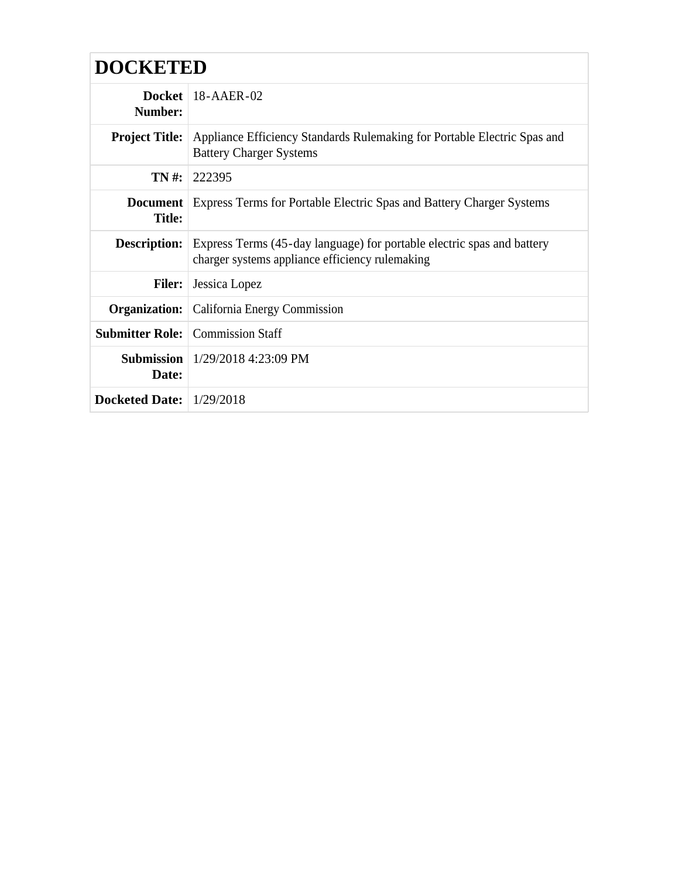| <b>DOCKETED</b>            |                                                                                                                                               |  |
|----------------------------|-----------------------------------------------------------------------------------------------------------------------------------------------|--|
| Number:                    | Docket   $18$ -AAER-02                                                                                                                        |  |
|                            | <b>Project Title:</b> Appliance Efficiency Standards Rulemaking for Portable Electric Spas and<br><b>Battery Charger Systems</b>              |  |
| $TN#$ :                    | 222395                                                                                                                                        |  |
| <b>Title:</b>              | <b>Document</b> Express Terms for Portable Electric Spas and Battery Charger Systems                                                          |  |
|                            | <b>Description:</b> Express Terms (45-day language) for portable electric spas and battery<br>charger systems appliance efficiency rulemaking |  |
| <b>Filer:</b>              | Jessica Lopez                                                                                                                                 |  |
|                            | <b>Organization:</b> California Energy Commission                                                                                             |  |
|                            | <b>Submitter Role:</b> Commission Staff                                                                                                       |  |
| Date:                      | <b>Submission</b>   $1/29/2018$ 4:23:09 PM                                                                                                    |  |
| Docketed Date: $1/29/2018$ |                                                                                                                                               |  |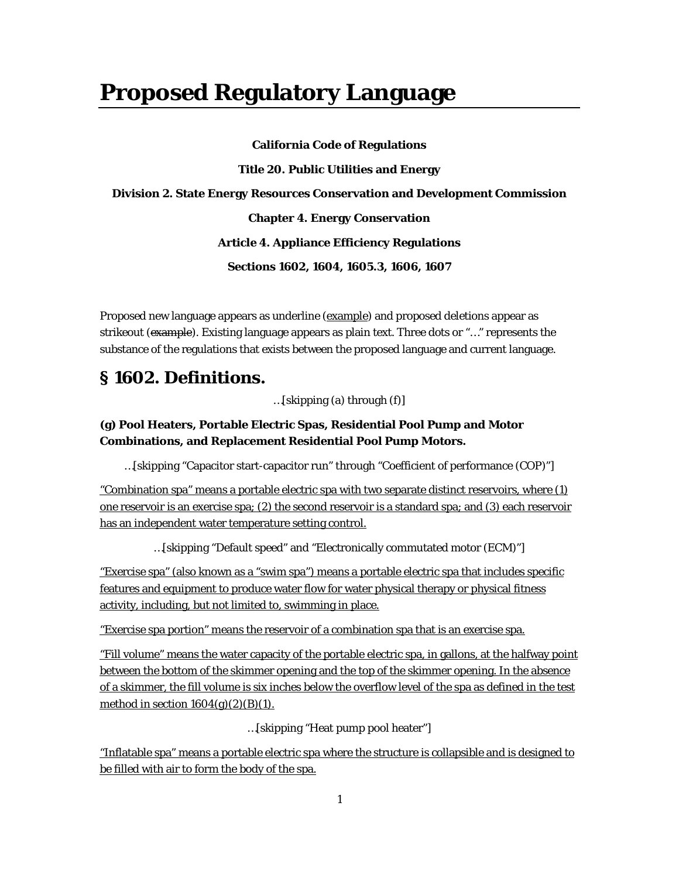# **Proposed Regulatory Language**

**California Code of Regulations Title 20. Public Utilities and Energy Division 2. State Energy Resources Conservation and Development Commission Chapter 4. Energy Conservation Article 4. Appliance Efficiency Regulations Sections 1602, 1604, 1605.3, 1606, 1607**

Proposed new language appears as underline (example) and proposed deletions appear as strikeout (example). Existing language appears as plain text. Three dots or "..." represents the substance of the regulations that exists between the proposed language and current language.

# **§ 1602. Definitions.**

…[skipping (a) through (f)]

## **(g) Pool Heaters, Portable Electric Spas, Residential Pool Pump and Motor Combinations, and Replacement Residential Pool Pump Motors.**

…[skipping "Capacitor start-capacitor run" through "Coefficient of performance (COP)"]

"Combination spa" means a portable electric spa with two separate distinct reservoirs, where (1) one reservoir is an exercise spa; (2) the second reservoir is a standard spa; and (3) each reservoir has an independent water temperature setting control.

…[skipping "Default speed" and "Electronically commutated motor (ECM)"]

"Exercise spa" (also known as a "swim spa") means a portable electric spa that includes specific features and equipment to produce water flow for water physical therapy or physical fitness activity, including, but not limited to, swimming in place.

"Exercise spa portion" means the reservoir of a combination spa that is an exercise spa.

"Fill volume" means the water capacity of the portable electric spa, in gallons, at the halfway point between the bottom of the skimmer opening and the top of the skimmer opening. In the absence of a skimmer, the fill volume is six inches below the overflow level of the spa as defined in the test method in section  $1604(g)(2)(B)(1)$ .

…[skipping "Heat pump pool heater"]

"Inflatable spa" means a portable electric spa where the structure is collapsible and is designed to be filled with air to form the body of the spa.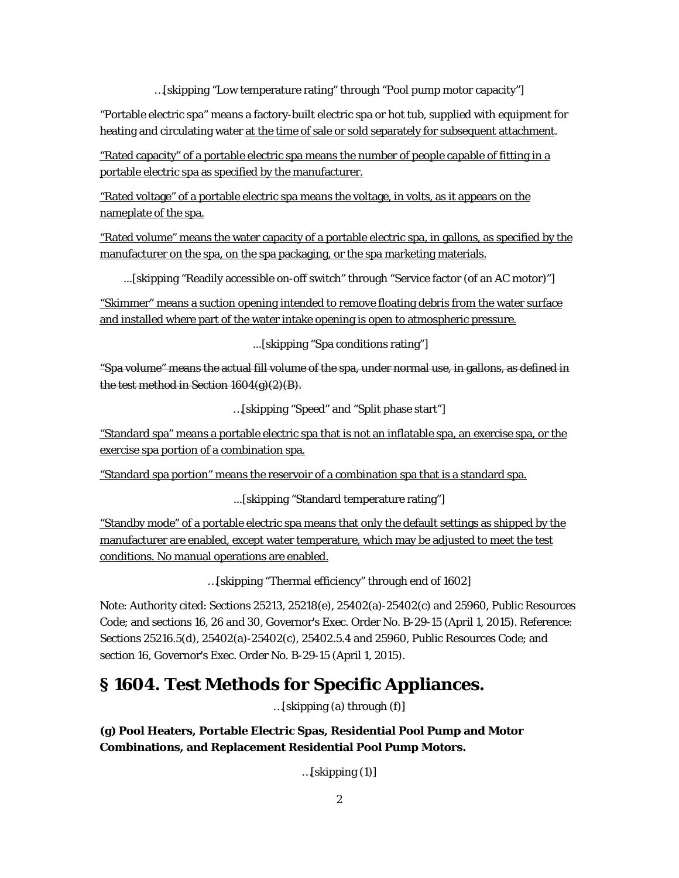…[skipping "Low temperature rating" through "Pool pump motor capacity"]

"Portable electric spa" means a factory-built electric spa or hot tub, supplied with equipment for heating and circulating water at the time of sale or sold separately for subsequent attachment.

"Rated capacity" of a portable electric spa means the number of people capable of fitting in a portable electric spa as specified by the manufacturer.

"Rated voltage" of a portable electric spa means the voltage, in volts, as it appears on the nameplate of the spa.

"Rated volume" means the water capacity of a portable electric spa, in gallons, as specified by the manufacturer on the spa, on the spa packaging, or the spa marketing materials.

...[skipping "Readily accessible on-off switch" through "Service factor (of an AC motor)"]

"Skimmer" means a suction opening intended to remove floating debris from the water surface and installed where part of the water intake opening is open to atmospheric pressure.

...[skipping "Spa conditions rating"]

"Spa volume" means the actual fill volume of the spa, under normal use, in gallons, as defined in the test method in Section 1604(g)(2)(B).

…[skipping "Speed" and "Split phase start"]

"Standard spa" means a portable electric spa that is not an inflatable spa, an exercise spa, or the exercise spa portion of a combination spa.

"Standard spa portion" means the reservoir of a combination spa that is a standard spa.

...[skipping "Standard temperature rating"]

"Standby mode" of a portable electric spa means that only the default settings as shipped by the manufacturer are enabled, except water temperature, which may be adjusted to meet the test conditions. No manual operations are enabled.

…[skipping "Thermal efficiency" through end of 1602]

Note: Authority cited: Sections 25213, 25218(e), 25402(a)-25402(c) and 25960, Public Resources Code; and sections 16, 26 and 30, Governor's Exec. Order No. B-29-15 (April 1, 2015). Reference: Sections 25216.5(d), 25402(a)-25402(c), 25402.5.4 and 25960, Public Resources Code; and section 16, Governor's Exec. Order No. B-29-15 (April 1, 2015).

# **§ 1604. Test Methods for Specific Appliances.**

…[skipping (a) through (f)]

**(g) Pool Heaters, Portable Electric Spas, Residential Pool Pump and Motor Combinations, and Replacement Residential Pool Pump Motors.**

 $...$ [skipping  $(1)$ ]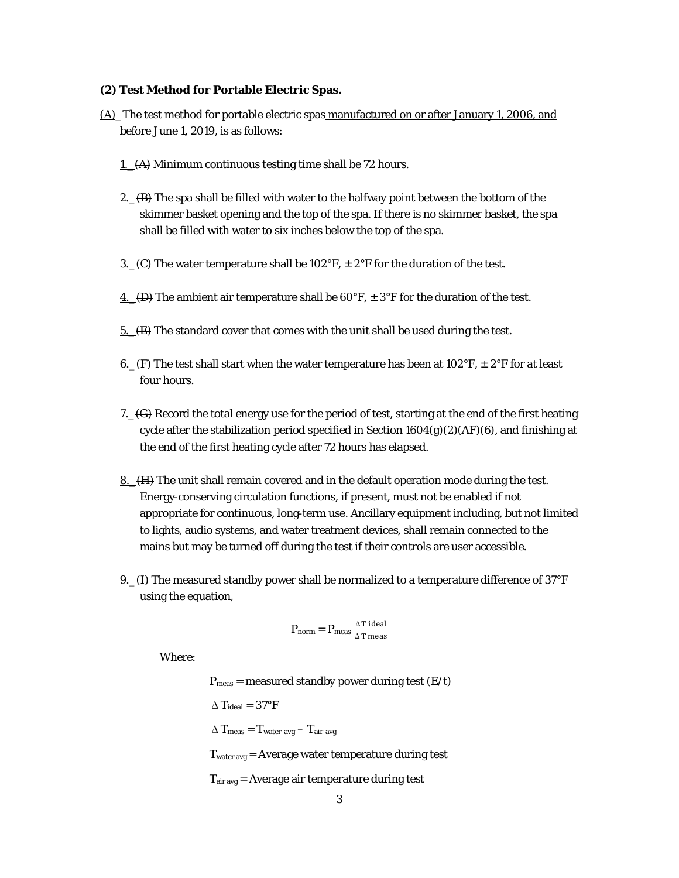## **(2) Test Method for Portable Electric Spas.**

- (A)\_The test method for portable electric spas manufactured on or after January 1, 2006, and before June 1, 2019, is as follows:
	- 1. (A) Minimum continuous testing time shall be 72 hours.
	- 2.  $(B)$  The spa shall be filled with water to the halfway point between the bottom of the skimmer basket opening and the top of the spa. If there is no skimmer basket, the spa shall be filled with water to six inches below the top of the spa.
	- 3.  $\left(\frac{C}{C}\right)$  The water temperature shall be 102°F,  $\pm$  2°F for the duration of the test.
	- 4.  $(D)$  The ambient air temperature shall be 60°F,  $\pm$  3°F for the duration of the test.
	- 5.  $(E)$  The standard cover that comes with the unit shall be used during the test.
	- <u>6.</u> (F) The test shall start when the water temperature has been at 102°F,  $\pm$  2°F for at least four hours.
	- 7.\_(G) Record the total energy use for the period of test, starting at the end of the first heating cycle after the stabilization period specified in Section  $1604(g)(2)(\underline{AF})(6)$ , and finishing at the end of the first heating cycle after 72 hours has elapsed.
	- 8. (H) The unit shall remain covered and in the default operation mode during the test. Energy‐conserving circulation functions, if present, must not be enabled if not appropriate for continuous, long‐term use. Ancillary equipment including, but not limited to lights, audio systems, and water treatment devices, shall remain connected to the mains but may be turned off during the test if their controls are user accessible.
	- 9.\_(I) The measured standby power shall be normalized to a temperature difference of 37°F using the equation,

$$
P_{norm} = P_{meas} \frac{\Delta T \, ideal}{\Delta T \, meas}
$$

Where:

 $P_{meas}$  = measured standby power during test (E/t)  $\Delta$  T<sub>ideal</sub> = 37°F  $\Delta$ T<sub>meas</sub> = T<sub>water avg</sub> - T<sub>air avg</sub> Twater avg = Average water temperature during test Tair avg = Average air temperature during test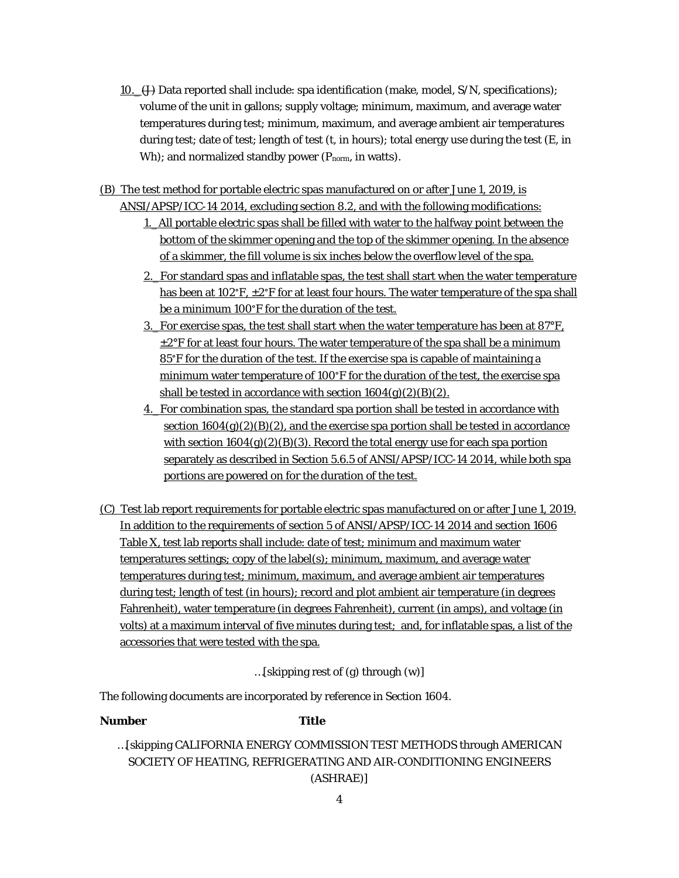- 10.  $\leftrightarrow$  Data reported shall include: spa identification (make, model, S/N, specifications); volume of the unit in gallons; supply voltage; minimum, maximum, and average water temperatures during test; minimum, maximum, and average ambient air temperatures during test; date of test; length of test (t, in hours); total energy use during the test (E, in Wh); and normalized standby power  $(P_{norm}$ , in watts).
- (B) The test method for portable electric spas manufactured on or after June 1, 2019, is ANSI/APSP/ICC-14 2014, excluding section 8.2, and with the following modifications:
	- 1. All portable electric spas shall be filled with water to the halfway point between the bottom of the skimmer opening and the top of the skimmer opening. In the absence of a skimmer, the fill volume is six inches below the overflow level of the spa.
	- 2.\_For standard spas and inflatable spas, the test shall start when the water temperature has been at  $102^{\circ}F$ ,  $\pm 2^{\circ}F$  for at least four hours. The water temperature of the spa shall be a minimum 100°F for the duration of the test.
	- 3. For exercise spas, the test shall start when the water temperature has been at  $87^{\circ}$ F,  $\pm 2^{\circ}$ F for at least four hours. The water temperature of the spa shall be a minimum 85°F for the duration of the test. If the exercise spa is capable of maintaining a minimum water temperature of 100°F for the duration of the test, the exercise spa shall be tested in accordance with section  $1604(g)(2)(B)(2)$ .
	- 4.\_For combination spas, the standard spa portion shall be tested in accordance with section  $1604(g)(2)(B)(2)$ , and the exercise spa portion shall be tested in accordance with section  $1604(g)(2)(B)(3)$ . Record the total energy use for each spa portion separately as described in Section 5.6.5 of ANSI/APSP/ICC-14 2014, while both spa portions are powered on for the duration of the test.
- (C) Test lab report requirements for portable electric spas manufactured on or after June 1, 2019. In addition to the requirements of section 5 of ANSI/APSP/ICC-14 2014 and section 1606 Table X, test lab reports shall include: date of test; minimum and maximum water temperatures settings; copy of the label(s); minimum, maximum, and average water temperatures during test; minimum, maximum, and average ambient air temperatures during test; length of test (in hours); record and plot ambient air temperature (in degrees Fahrenheit), water temperature (in degrees Fahrenheit), current (in amps), and voltage (in volts) at a maximum interval of five minutes during test; and, for inflatable spas, a list of the accessories that were tested with the spa.

…[skipping rest of (g) through (w)]

The following documents are incorporated by reference in Section 1604.

## *Number Title*

…[skipping CALIFORNIA ENERGY COMMISSION TEST METHODS through AMERICAN SOCIETY OF HEATING, REFRIGERATING AND AIR-CONDITIONING ENGINEERS (ASHRAE)]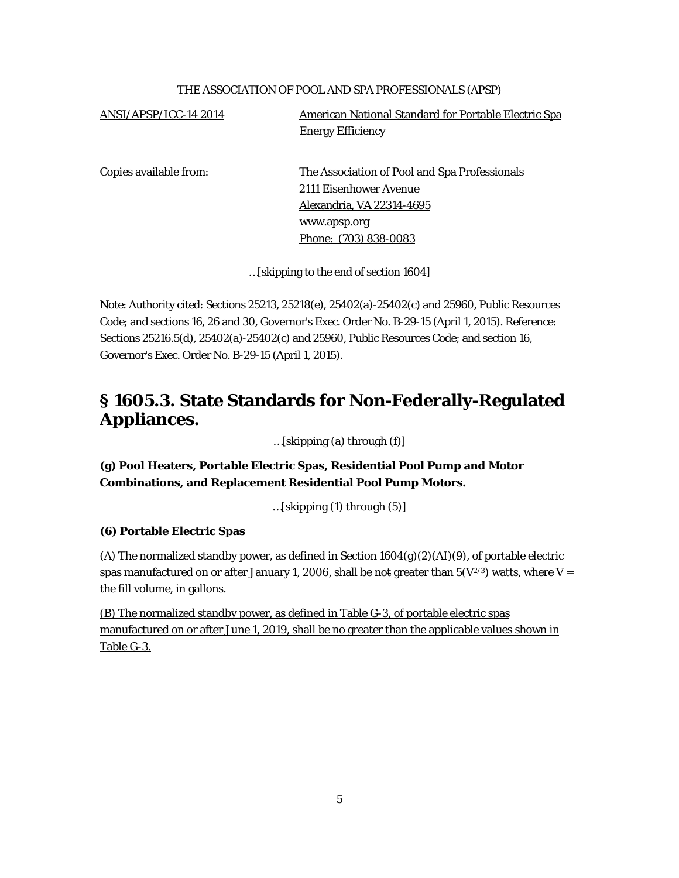## THE ASSOCIATION OF POOL AND SPA PROFESSIONALS (APSP)

ANSI/APSP/ICC-14 2014 American National Standard for Portable Electric Spa Energy Efficiency

Copies available from: The Association of Pool and Spa Professionals 2111 Eisenhower Avenue Alexandria, VA 22314-4695 www.apsp.org Phone: (703) 838-0083

…[skipping to the end of section 1604]

Note: Authority cited: Sections 25213, 25218(e), 25402(a)-25402(c) and 25960, Public Resources Code; and sections 16, 26 and 30, Governor's Exec. Order No. B-29-15 (April 1, 2015). Reference: Sections 25216.5(d), 25402(a)-25402(c) and 25960, Public Resources Code; and section 16, Governor's Exec. Order No. B-29-15 (April 1, 2015).

# **§ 1605.3. State Standards for Non-Federally-Regulated Appliances.**

…[skipping (a) through (f)]

**(g) Pool Heaters, Portable Electric Spas, Residential Pool Pump and Motor Combinations, and Replacement Residential Pool Pump Motors.**

…[skipping (1) through (5)]

## **(6) Portable Electric Spas**

(A) The normalized standby power, as defined in Section  $1604(g)(2)(\text{A}I)(9)$ , of portable electric spas manufactured on or after January 1, 2006, shall be not greater than  $5(V^{2/3})$  watts, where V = the fill volume, in gallons.

(B) The normalized standby power, as defined in Table G-3, of portable electric spas manufactured on or after June 1, 2019, shall be no greater than the applicable values shown in Table G-3.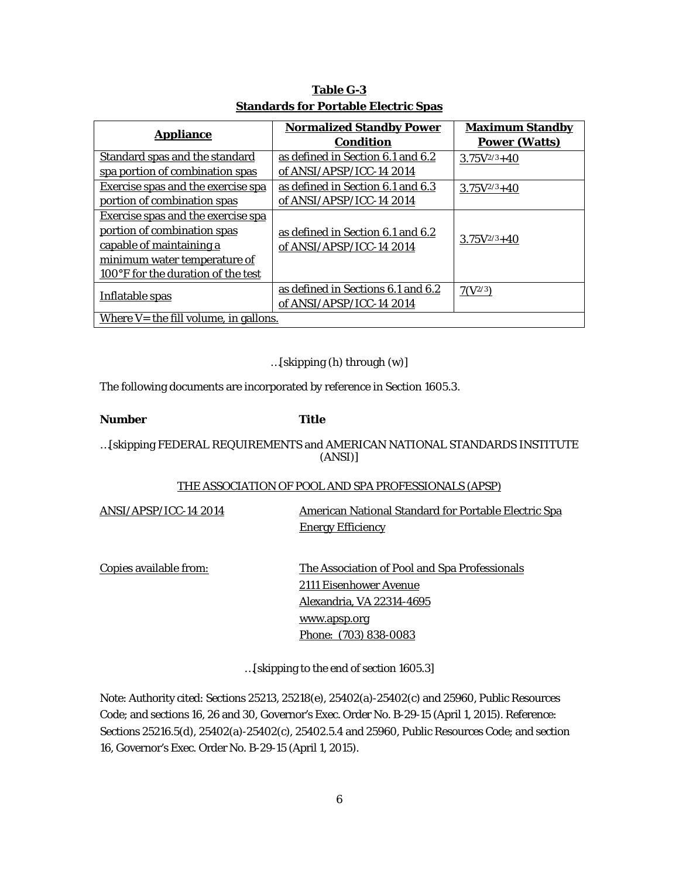| <b>Appliance</b>                          | <b>Normalized Standby Power</b>    | <b>Maximum Standby</b> |
|-------------------------------------------|------------------------------------|------------------------|
|                                           | <b>Condition</b>                   | <b>Power (Watts)</b>   |
| <b>Standard spas and the standard</b>     | as defined in Section 6.1 and 6.2  | $3.75V^{2/3}+40$       |
| spa portion of combination spas           | of ANSI/APSP/ICC-14 2014           |                        |
| <b>Exercise spas and the exercise spa</b> | as defined in Section 6.1 and 6.3  | $3.75V^{2/3}+40$       |
| portion of combination spas               | of ANSI/APSP/ICC-14 2014           |                        |
| <b>Exercise spas and the exercise spa</b> |                                    |                        |
| portion of combination spas               | as defined in Section 6.1 and 6.2  |                        |
| capable of maintaining a                  | of ANSI/APSP/ICC-14 2014           | $3.75V^{2/3}+40$       |
| minimum water temperature of              |                                    |                        |
| 100°F for the duration of the test        |                                    |                        |
|                                           | as defined in Sections 6.1 and 6.2 | $7(V^{2/3})$           |
| <b>Inflatable spas</b>                    | of ANSI/APSP/ICC-14 2014           |                        |
| Where $V =$ the fill volume, in gallons.  |                                    |                        |

# **Table G-3 Standards for Portable Electric Spas**

…[skipping (h) through (w)]

The following documents are incorporated by reference in Section 1605.3.

## *Number Title*

## …[skipping FEDERAL REQUIREMENTS and AMERICAN NATIONAL STANDARDS INSTITUTE (ANSI)]

## THE ASSOCIATION OF POOL AND SPA PROFESSIONALS (APSP)

ANSI/APSP/ICC-14 2014 American National Standard for Portable Electric Spa Energy Efficiency Copies available from: The Association of Pool and Spa Professionals

 2111 Eisenhower Avenue Alexandria, VA 22314-4695 www.apsp.org Phone: (703) 838-0083

…[skipping to the end of section 1605.3]

Note: Authority cited: Sections 25213, 25218(e), 25402(a)-25402(c) and 25960, Public Resources Code; and sections 16, 26 and 30, Governor's Exec. Order No. B-29-15 (April 1, 2015). Reference: Sections 25216.5(d), 25402(a)-25402(c), 25402.5.4 and 25960, Public Resources Code; and section 16, Governor's Exec. Order No. B-29-15 (April 1, 2015).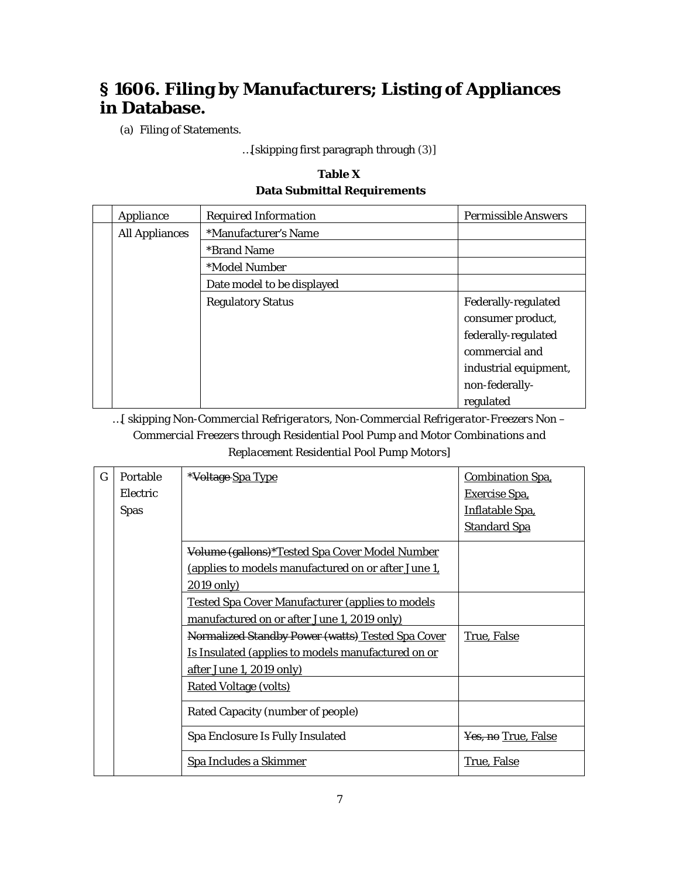# **§ 1606. Filing by Manufacturers; Listing of Appliances in Database.**

(a) Filing of Statements.

…[skipping first paragraph through (3)]

# **Table X Data Submittal Requirements**

| Appliance             | <b>Required Information</b> | <b>Permissible Answers</b> |
|-----------------------|-----------------------------|----------------------------|
| <b>All Appliances</b> | *Manufacturer's Name        |                            |
|                       | <i><b>*Brand Name</b></i>   |                            |
|                       | *Model Number               |                            |
|                       | Date model to be displayed  |                            |
|                       | <b>Regulatory Status</b>    | Federally-regulated        |
|                       |                             | consumer product,          |
|                       |                             | federally-regulated        |
|                       |                             | commercial and             |
|                       |                             | industrial equipment,      |
|                       |                             | non-federally-             |
|                       |                             | regulated                  |

…[ skipping *Non-Commercial Refrigerators, Non-Commercial Refrigerator-Freezers Non – Commercial Freezers* through *Residential Pool Pump and Motor Combinations and Replacement Residential Pool Pump Motors*]

| G | Portable<br>Electric<br><b>Spas</b> | *Voltage Spa Type                                                                                                                   | <b>Combination Spa.</b><br>Exercise Spa,<br><b>Inflatable Spa,</b><br><b>Standard Spa</b> |
|---|-------------------------------------|-------------------------------------------------------------------------------------------------------------------------------------|-------------------------------------------------------------------------------------------|
|   |                                     | Volume (gallons)*Tested Spa Cover Model Number<br>(applies to models manufactured on or after June 1,<br>$2019$ only)               |                                                                                           |
|   |                                     | <b>Tested Spa Cover Manufacturer (applies to models</b><br>manufactured on or after June 1, 2019 only)                              |                                                                                           |
|   |                                     | Normalized Standby Power (watts) Tested Spa Cover<br>Is Insulated (applies to models manufactured on or<br>after June 1, 2019 only) | <u>True, False</u>                                                                        |
|   |                                     | <b>Rated Voltage (volts)</b>                                                                                                        |                                                                                           |
|   |                                     | Rated Capacity (number of people)                                                                                                   |                                                                                           |
|   |                                     | Spa Enclosure Is Fully Insulated                                                                                                    | Yes, no True, False                                                                       |
|   |                                     | Spa Includes a Skimmer                                                                                                              | True, False                                                                               |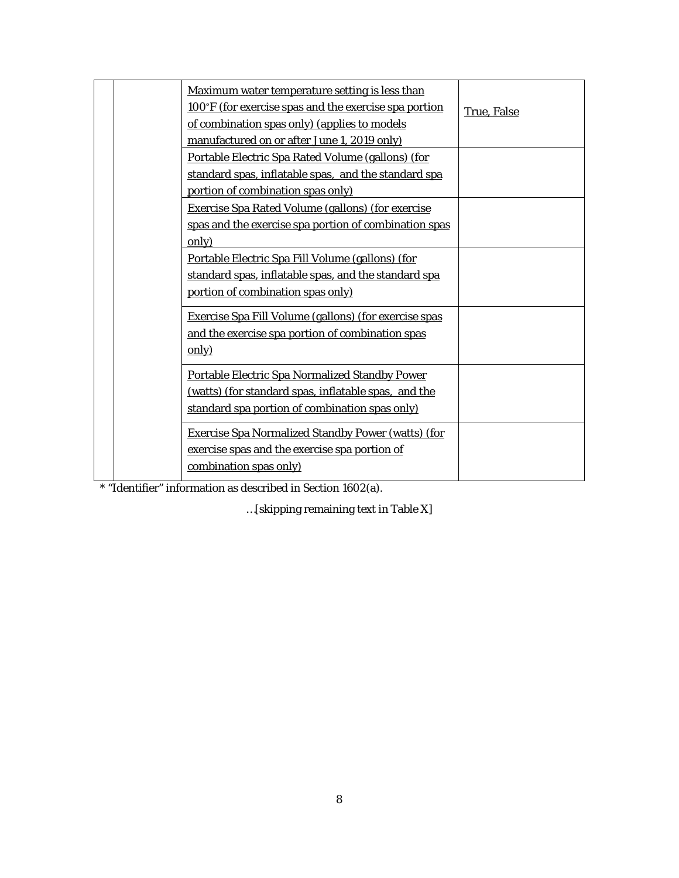|  | Maximum water temperature setting is less than               |             |
|--|--------------------------------------------------------------|-------------|
|  | 100°F (for exercise spas and the exercise spa portion        | True, False |
|  | of combination spas only) (applies to models                 |             |
|  | manufactured on or after June 1, 2019 only)                  |             |
|  | Portable Electric Spa Rated Volume (gallons) (for            |             |
|  | standard spas, inflatable spas, and the standard spa         |             |
|  | portion of combination spas only)                            |             |
|  | <b>Exercise Spa Rated Volume (gallons) (for exercise</b>     |             |
|  | spas and the exercise spa portion of combination spas        |             |
|  | only)                                                        |             |
|  | Portable Electric Spa Fill Volume (gallons) (for             |             |
|  | standard spas, inflatable spas, and the standard spa         |             |
|  | portion of combination spas only)                            |             |
|  | <b>Exercise Spa Fill Volume (gallons) (for exercise spas</b> |             |
|  | and the exercise spa portion of combination spas             |             |
|  | only)                                                        |             |
|  | Portable Electric Spa Normalized Standby Power               |             |
|  | (watts) (for standard spas, inflatable spas, and the         |             |
|  | standard spa portion of combination spas only)               |             |
|  |                                                              |             |
|  | <b>Exercise Spa Normalized Standby Power (watts) (for</b>    |             |
|  | exercise spas and the exercise spa portion of                |             |
|  | combination spas only)                                       |             |
|  |                                                              |             |

\* "Identifier" information as described in Section 1602(a).

…[skipping remaining text in Table X]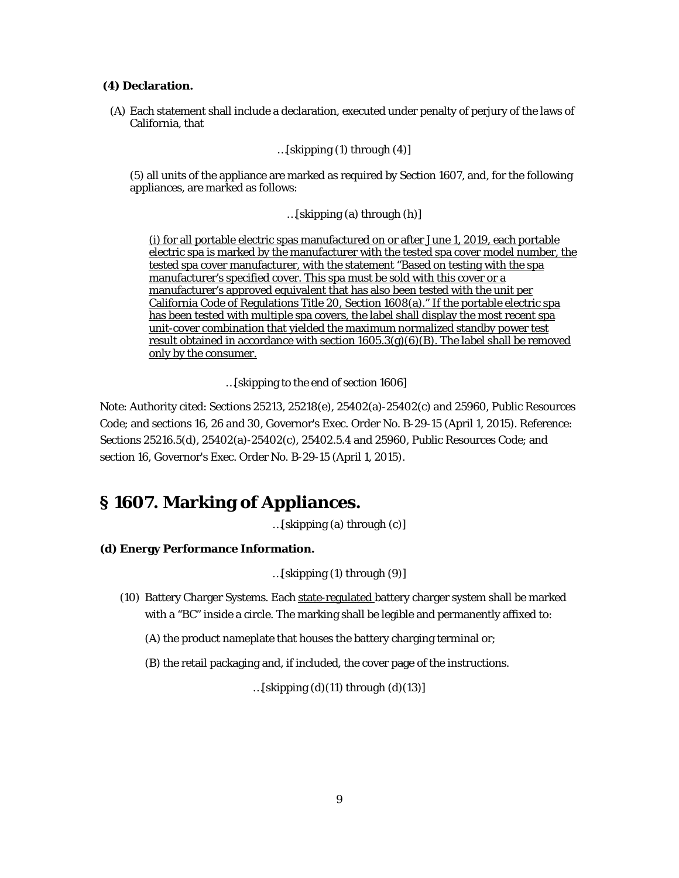#### **(4) Declaration.**

(A) Each statement shall include a declaration, executed under penalty of perjury of the laws of California, that

…[skipping (1) through (4)]

(5) all units of the appliance are marked as required by Section 1607, and, for the following appliances, are marked as follows:

…[skipping (a) through (h)]

(i) for all portable electric spas manufactured on or after June 1, 2019, each portable electric spa is marked by the manufacturer with the tested spa cover model number, the tested spa cover manufacturer, with the statement "Based on testing with the spa manufacturer's specified cover. This spa must be sold with this cover or a manufacturer's approved equivalent that has also been tested with the unit per California Code of Regulations Title 20, Section 1608(a)." If the portable electric spa has been tested with multiple spa covers, the label shall display the most recent spa unit-cover combination that yielded the maximum normalized standby power test result obtained in accordance with section  $1605.3(g)(6)$  (B). The label shall be removed only by the consumer.

…[skipping to the end of section 1606]

Note: Authority cited: Sections 25213, 25218(e), 25402(a)-25402(c) and 25960, Public Resources Code; and sections 16, 26 and 30, Governor's Exec. Order No. B-29-15 (April 1, 2015). Reference: Sections 25216.5(d), 25402(a)-25402(c), 25402.5.4 and 25960, Public Resources Code; and section 16, Governor's Exec. Order No. B-29-15 (April 1, 2015).

# **§ 1607. Marking of Appliances.**

…[skipping (a) through (c)]

**(d) Energy Performance Information.**

…[skipping (1) through (9)]

- (10) Battery Charger Systems. Each state-regulated battery charger system shall be marked with a "BC" inside a circle. The marking shall be legible and permanently affixed to:
	- (A) the product nameplate that houses the battery charging terminal or;
	- (B) the retail packaging and, if included, the cover page of the instructions.

... $[skipping (d)(11)$  through  $(d)(13)]$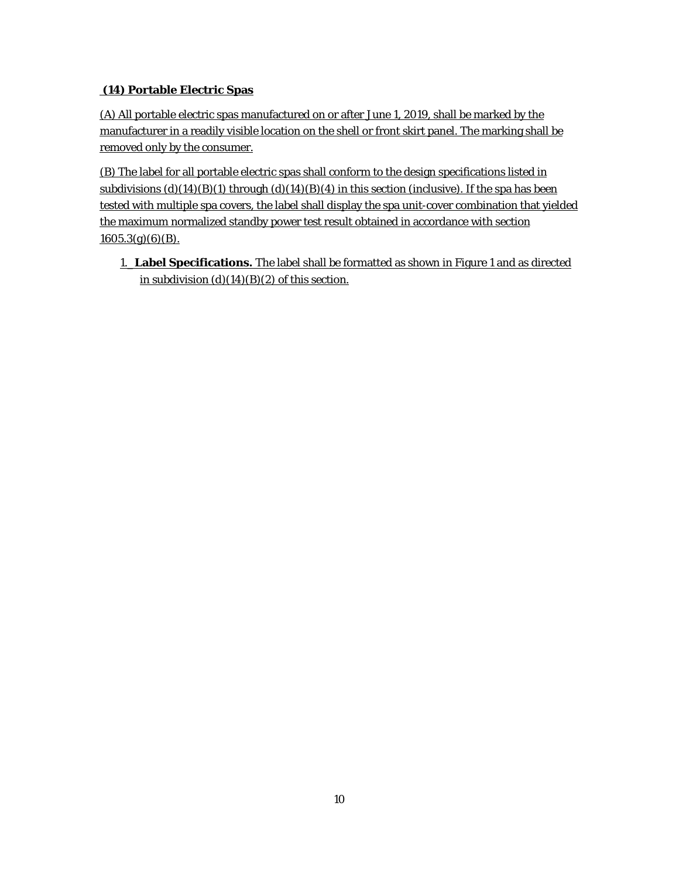# **(14) Portable Electric Spas**

(A) All portable electric spas manufactured on or after June 1, 2019, shall be marked by the manufacturer in a readily visible location on the shell or front skirt panel. The marking shall be removed only by the consumer.

(B) The label for all portable electric spas shall conform to the design specifications listed in subdivisions  $(d)(14)(B)(1)$  through  $(d)(14)(B)(4)$  in this section (inclusive). If the spa has been tested with multiple spa covers, the label shall display the spa unit-cover combination that yielded the maximum normalized standby power test result obtained in accordance with section  $1605.3(g)(6)(B)$ .

1.\_**Label Specifications.** The label shall be formatted as shown in Figure 1 and as directed in subdivision  $(d)(14)(B)(2)$  of this section.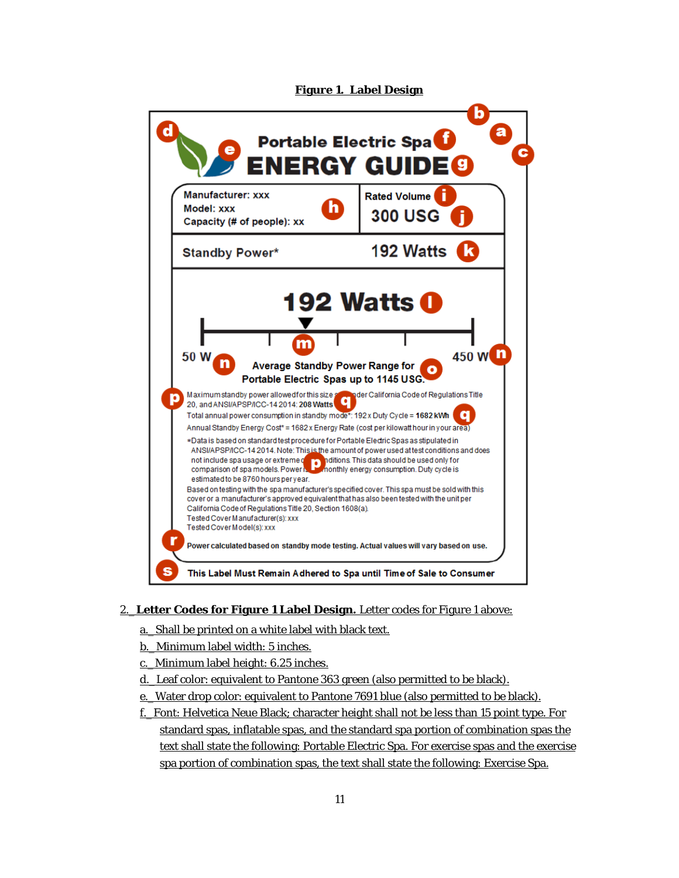



## 2.\_**Letter Codes for Figure 1 Label Design.** Letter codes for Figure 1 above:

- a.\_Shall be printed on a white label with black text.
- b.\_Minimum label width: 5 inches.
- c.\_Minimum label height: 6.25 inches.
- d.\_Leaf color: equivalent to Pantone 363 green (also permitted to be black).
- e.\_Water drop color: equivalent to Pantone 7691 blue (also permitted to be black).
- f.\_Font: Helvetica Neue Black; character height shall not be less than 15 point type. For standard spas, inflatable spas, and the standard spa portion of combination spas the text shall state the following: Portable Electric Spa. For exercise spas and the exercise spa portion of combination spas, the text shall state the following: Exercise Spa.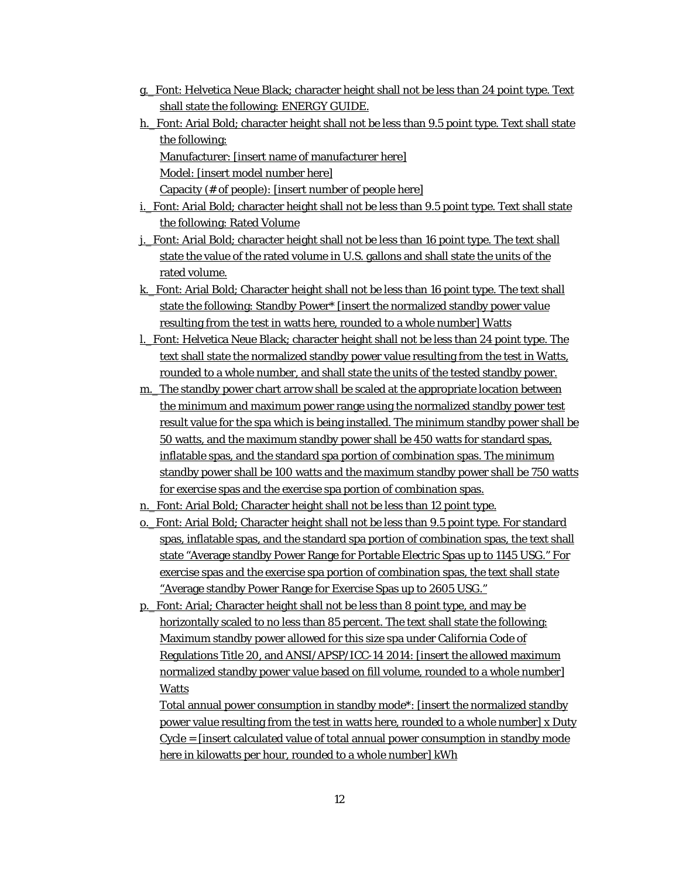- g.\_Font: Helvetica Neue Black; character height shall not be less than 24 point type. Text shall state the following: ENERGY GUIDE.
- h. Font: Arial Bold; character height shall not be less than 9.5 point type. Text shall state the following: Manufacturer: [insert name of manufacturer here]

Model: [insert model number here]

Capacity (# of people): [insert number of people here]

- i. Font: Arial Bold; character height shall not be less than 9.5 point type. Text shall state the following: Rated Volume
- j.\_Font: Arial Bold; character height shall not be less than 16 point type. The text shall state the value of the rated volume in U.S. gallons and shall state the units of the rated volume.
- k. Font: Arial Bold; Character height shall not be less than 16 point type. The text shall state the following: Standby Power\* [insert the normalized standby power value resulting from the test in watts here, rounded to a whole number] Watts
- l.\_Font: Helvetica Neue Black; character height shall not be less than 24 point type. The text shall state the normalized standby power value resulting from the test in Watts, rounded to a whole number, and shall state the units of the tested standby power.
- m. The standby power chart arrow shall be scaled at the appropriate location between the minimum and maximum power range using the normalized standby power test result value for the spa which is being installed. The minimum standby power shall be 50 watts, and the maximum standby power shall be 450 watts for standard spas, inflatable spas, and the standard spa portion of combination spas. The minimum standby power shall be 100 watts and the maximum standby power shall be 750 watts for exercise spas and the exercise spa portion of combination spas.
- n.\_Font: Arial Bold; Character height shall not be less than 12 point type.
- o.\_Font: Arial Bold; Character height shall not be less than 9.5 point type. For standard spas, inflatable spas, and the standard spa portion of combination spas, the text shall state "Average standby Power Range for Portable Electric Spas up to 1145 USG." For exercise spas and the exercise spa portion of combination spas, the text shall state "Average standby Power Range for Exercise Spas up to 2605 USG."
- p.\_Font: Arial; Character height shall not be less than 8 point type, and may be horizontally scaled to no less than 85 percent. The text shall state the following: Maximum standby power allowed for this size spa under California Code of Regulations Title 20, and ANSI/APSP/ICC-14 2014: [insert the allowed maximum normalized standby power value based on fill volume, rounded to a whole number] Watts

Total annual power consumption in standby mode\*: [insert the normalized standby power value resulting from the test in watts here, rounded to a whole number] x Duty Cycle = [insert calculated value of total annual power consumption in standby mode here in kilowatts per hour, rounded to a whole number] kWh